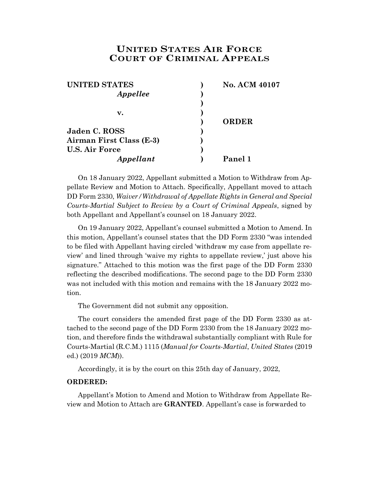## **UNITED STATES AIR FORCE COURT OF CRIMINAL APPEALS**

| <b>UNITED STATES</b>     | <b>No. ACM 40107</b> |
|--------------------------|----------------------|
| Appellee                 |                      |
|                          |                      |
| v.                       |                      |
|                          | <b>ORDER</b>         |
| Jaden C. ROSS            |                      |
| Airman First Class (E-3) |                      |
| <b>U.S. Air Force</b>    |                      |
| Appellant                | Panel 1              |

On 18 January 2022, Appellant submitted a Motion to Withdraw from Appellate Review and Motion to Attach. Specifically, Appellant moved to attach DD Form 2330, *Waiver/Withdrawal of Appellate Rights in General and Special Courts-Martial Subject to Review by a Court of Criminal Appeals*, signed by both Appellant and Appellant's counsel on 18 January 2022.

On 19 January 2022, Appellant's counsel submitted a Motion to Amend. In this motion, Appellant's counsel states that the DD Form 2330 "was intended to be filed with Appellant having circled 'withdraw my case from appellate review' and lined through 'waive my rights to appellate review,' just above his signature." Attached to this motion was the first page of the DD Form 2330 reflecting the described modifications. The second page to the DD Form 2330 was not included with this motion and remains with the 18 January 2022 motion.

The Government did not submit any opposition.

The court considers the amended first page of the DD Form 2330 as attached to the second page of the DD Form 2330 from the 18 January 2022 motion, and therefore finds the withdrawal substantially compliant with Rule for Courts-Martial (R.C.M.) 1115 (*Manual for Courts-Martial*, *United States* (2019 ed.) (2019 *MCM*)).

Accordingly, it is by the court on this 25th day of January, 2022,

## **ORDERED:**

Appellant's Motion to Amend and Motion to Withdraw from Appellate Review and Motion to Attach are **GRANTED**. Appellant's case is forwarded to